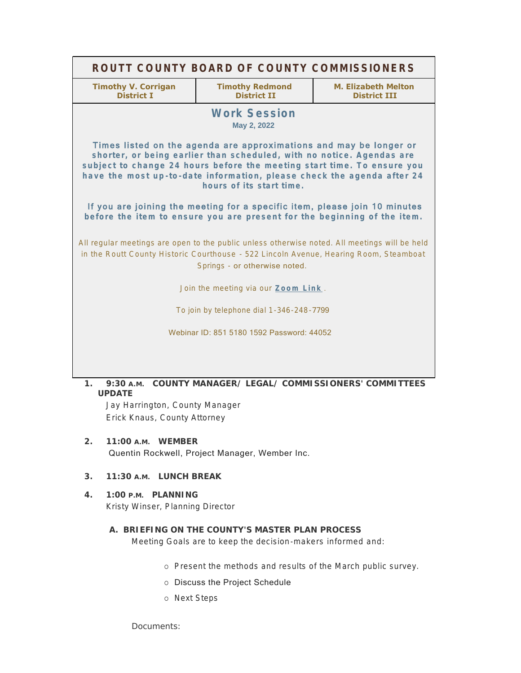| ROUTT COUNTY BOARD OF COUNTY COMMISSIONERS                                                                                                                                                                                                                                                                                   |                                              |                                                   |
|------------------------------------------------------------------------------------------------------------------------------------------------------------------------------------------------------------------------------------------------------------------------------------------------------------------------------|----------------------------------------------|---------------------------------------------------|
| <b>Timothy V. Corrigan</b><br><b>District I</b>                                                                                                                                                                                                                                                                              | <b>Timothy Redmond</b><br><b>District II</b> | <b>M. Elizabeth Melton</b><br><b>District III</b> |
| <b>Work Session</b><br>May 2, 2022                                                                                                                                                                                                                                                                                           |                                              |                                                   |
| Times listed on the agenda are approximations and may be longer or<br>shorter, or being earlier than scheduled, with no notice. Agendas are<br>subject to change 24 hours before the meeting start time. To ensure you<br>have the most up-to-date information, please check the agenda after 24<br>hours of its start time. |                                              |                                                   |
| If you are joining the meeting for a specific item, please join 10 minutes<br>before the item to ensure you are present for the beginning of the item.                                                                                                                                                                       |                                              |                                                   |
| All regular meetings are open to the public unless otherwise noted. All meetings will be held<br>in the Routt County Historic Courthouse - 522 Lincoln Avenue, Hearing Room, Steamboat<br>Springs - or otherwise noted.                                                                                                      |                                              |                                                   |
| Join the meeting via our Zoom Link.                                                                                                                                                                                                                                                                                          |                                              |                                                   |
| To join by telephone dial 1-346-248-7799                                                                                                                                                                                                                                                                                     |                                              |                                                   |
| Webinar ID: 851 5180 1592 Password: 44052                                                                                                                                                                                                                                                                                    |                                              |                                                   |
|                                                                                                                                                                                                                                                                                                                              |                                              |                                                   |
| COUNTY MANAGER/ LEGAL/ COMMISSIONERS' COMMITTEES<br>9:30A.M.<br>$\mathbf{1}$ .<br><b>UPDATE</b>                                                                                                                                                                                                                              |                                              |                                                   |
| Jay Harrington, County Manager                                                                                                                                                                                                                                                                                               |                                              |                                                   |

Erick Knaus, County Attorney

**WEMBER 2. 11:00 A.M.** Quentin Rockwell, Project Manager, Wember Inc.

## **LUNCH BREAK 3. 11:30 A.M.**

**PLANNING 4. 1:00 P.M.** Kristy Winser, Planning Director

## **BRIEFING ON THE COUNTY'S MASTER PLAN PROCESS A.**

Meeting Goals are to keep the decision-makers informed and:

- o Present the methods and results of the March public survey.
- o Discuss the Project Schedule
- o Next Steps

Documents: